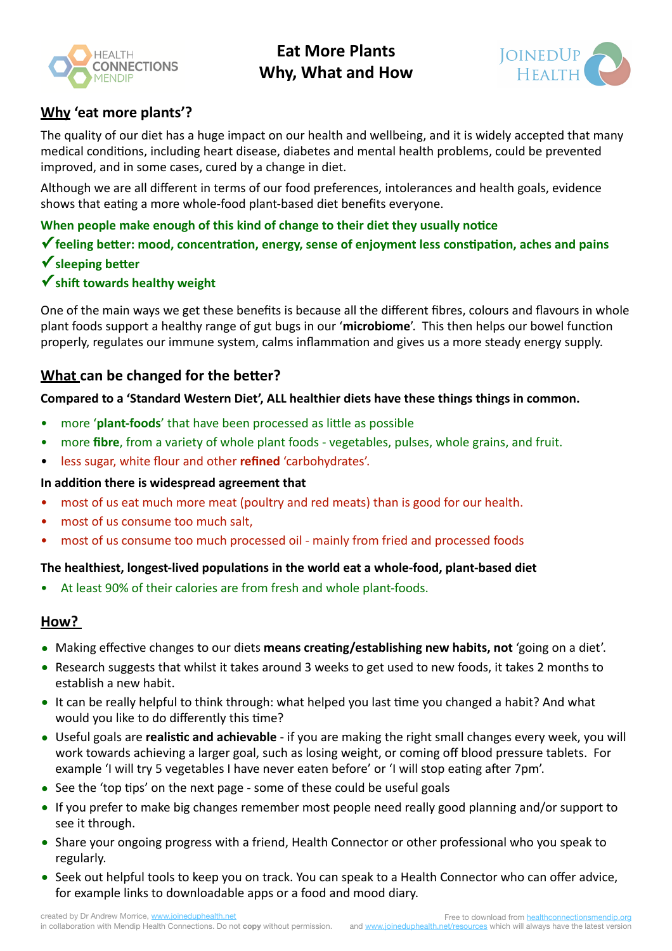

**Eat More Plants Why. What and How** 



# **Why 'eat more plants'?**

The quality of our diet has a huge impact on our health and wellbeing, and it is widely accepted that many medical conditions, including heart disease, diabetes and mental health problems, could be prevented improved, and in some cases, cured by a change in diet.

Although we are all different in terms of our food preferences, intolerances and health goals, evidence shows that eating a more whole-food plant-based diet benefits everyone.

**When people make enough of this kind of change to their diet they usually notice** 

 $\checkmark$  feeling better: mood, concentration, energy, sense of enjoyment less constipation, aches and pains

**✓** sleeping better

## **✓** shift towards healthy weight

One of the main ways we get these benefits is because all the different fibres, colours and flavours in whole plant foods support a healthy range of gut bugs in our 'microbiome'. This then helps our bowel function properly, regulates our immune system, calms inflammation and gives us a more steady energy supply.

# **What can be changed for the better?**

Compared to a 'Standard Western Diet', ALL healthier diets have these things things in common.

- more 'plant-foods' that have been processed as little as possible
- more **fibre**, from a variety of whole plant foods vegetables, pulses, whole grains, and fruit.
- less sugar, white flour and other **refined** 'carbohydrates'.

#### In addition there is widespread agreement that

- most of us eat much more meat (poultry and red meats) than is good for our health.
- most of us consume too much salt,
- most of us consume too much processed oil mainly from fried and processed foods

#### The healthiest, longest-lived populations in the world eat a whole-food, plant-based diet

At least 90% of their calories are from fresh and whole plant-foods.

#### **How?**

- Making effective changes to our diets means creating/establishing new habits, not 'going on a diet'.
- Research suggests that whilst it takes around 3 weeks to get used to new foods, it takes 2 months to establish a new habit.
- It can be really helpful to think through: what helped you last time you changed a habit? And what would you like to do differently this time?
- Useful goals are **realistic and achievable** if you are making the right small changes every week, you will work towards achieving a larger goal, such as losing weight, or coming off blood pressure tablets. For example 'I will try 5 vegetables I have never eaten before' or 'I will stop eating after 7pm'.
- See the 'top tips' on the next page some of these could be useful goals
- If you prefer to make big changes remember most people need really good planning and/or support to see it through.
- Share your ongoing progress with a friend, Health Connector or other professional who you speak to regularly.
- Seek out helpful tools to keep you on track. You can speak to a Health Connector who can offer advice, for example links to downloadable apps or a food and mood diary.